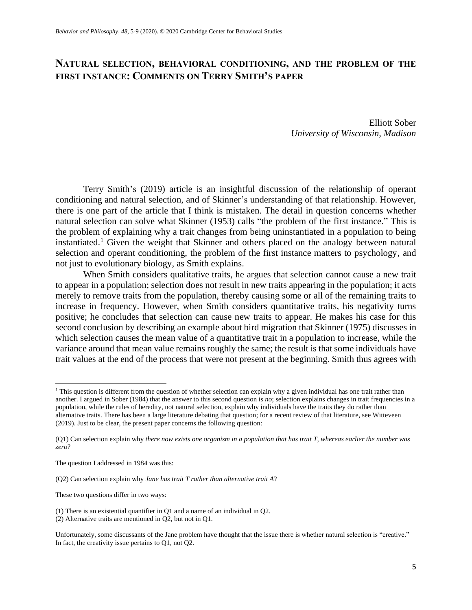## **NATURAL SELECTION, BEHAVIORAL CONDITIONING, AND THE PROBLEM OF THE FIRST INSTANCE: COMMENTS ON TERRY SMITH'S PAPER**

Elliott Sober *University of Wisconsin, Madison*

Terry Smith's (2019) article is an insightful discussion of the relationship of operant conditioning and natural selection, and of Skinner's understanding of that relationship. However, there is one part of the article that I think is mistaken. The detail in question concerns whether natural selection can solve what Skinner (1953) calls "the problem of the first instance." This is the problem of explaining why a trait changes from being uninstantiated in a population to being instantiated. <sup>1</sup> Given the weight that Skinner and others placed on the analogy between natural selection and operant conditioning, the problem of the first instance matters to psychology, and not just to evolutionary biology, as Smith explains.

When Smith considers qualitative traits, he argues that selection cannot cause a new trait to appear in a population; selection does not result in new traits appearing in the population; it acts merely to remove traits from the population, thereby causing some or all of the remaining traits to increase in frequency. However, when Smith considers quantitative traits, his negativity turns positive; he concludes that selection can cause new traits to appear. He makes his case for this second conclusion by describing an example about bird migration that Skinner (1975) discusses in which selection causes the mean value of a quantitative trait in a population to increase, while the variance around that mean value remains roughly the same; the result is that some individuals have trait values at the end of the process that were not present at the beginning. Smith thus agrees with

These two questions differ in two ways:

<sup>&</sup>lt;sup>1</sup> This question is different from the question of whether selection can explain why a given individual has one trait rather than another. I argued in Sober (1984) that the answer to this second question is *no*; selection explains changes in trait frequencies in a population, while the rules of heredity, not natural selection, explain why individuals have the traits they do rather than alternative traits. There has been a large literature debating that question; for a recent review of that literature, see Witteveen (2019). Just to be clear, the present paper concerns the following question:

<sup>(</sup>Q1) Can selection explain why *there now exists one organism in a population that has trait T, whereas earlier the number was zero*?

The question I addressed in 1984 was this:

<sup>(</sup>Q2) Can selection explain why *Jane has trait T rather than alternative trait A*?

<sup>(1)</sup> There is an existential quantifier in Q1 and a name of an individual in Q2.

<sup>(2)</sup> Alternative traits are mentioned in Q2, but not in Q1.

Unfortunately, some discussants of the Jane problem have thought that the issue there is whether natural selection is "creative." In fact, the creativity issue pertains to Q1, not Q2.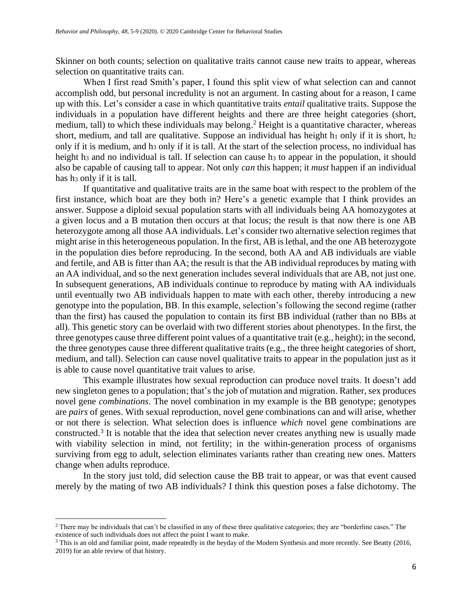Skinner on both counts; selection on qualitative traits cannot cause new traits to appear, whereas selection on quantitative traits can.

When I first read Smith's paper, I found this split view of what selection can and cannot accomplish odd, but personal incredulity is not an argument. In casting about for a reason, I came up with this. Let's consider a case in which quantitative traits *entail* qualitative traits. Suppose the individuals in a population have different heights and there are three height categories (short, medium, tall) to which these individuals may belong.<sup>2</sup> Height is a quantitative character, whereas short, medium, and tall are qualitative. Suppose an individual has height  $h_1$  only if it is short,  $h_2$ only if it is medium, and h<sup>3</sup> only if it is tall. At the start of the selection process, no individual has height h<sub>3</sub> and no individual is tall. If selection can cause h<sub>3</sub> to appear in the population, it should also be capable of causing tall to appear. Not only *can* this happen; it *must* happen if an individual has h<sub>3</sub> only if it is tall.

If quantitative and qualitative traits are in the same boat with respect to the problem of the first instance, which boat are they both in? Here's a genetic example that I think provides an answer. Suppose a diploid sexual population starts with all individuals being AA homozygotes at a given locus and a B mutation then occurs at that locus; the result is that now there is one AB heterozygote among all those AA individuals. Let's consider two alternative selection regimes that might arise in this heterogeneous population. In the first, AB is lethal, and the one AB heterozygote in the population dies before reproducing. In the second, both AA and AB individuals are viable and fertile, and AB is fitter than AA; the result is that the AB individual reproduces by mating with an AA individual, and so the next generation includes several individuals that are AB, not just one. In subsequent generations, AB individuals continue to reproduce by mating with AA individuals until eventually two AB individuals happen to mate with each other, thereby introducing a new genotype into the population, BB. In this example, selection's following the second regime (rather than the first) has caused the population to contain its first BB individual (rather than no BBs at all). This genetic story can be overlaid with two different stories about phenotypes. In the first, the three genotypes cause three different point values of a quantitative trait (e.g., height); in the second, the three genotypes cause three different qualitative traits (e.g., the three height categories of short, medium, and tall). Selection can cause novel qualitative traits to appear in the population just as it is able to cause novel quantitative trait values to arise.

This example illustrates how sexual reproduction can produce novel traits. It doesn't add new singleton genes to a population; that's the job of mutation and migration. Rather, sex produces novel gene *combinations*. The novel combination in my example is the BB genotype; genotypes are *pairs* of genes. With sexual reproduction, novel gene combinations can and will arise, whether or not there is selection. What selection does is influence *which* novel gene combinations are constructed.<sup>3</sup> It is notable that the idea that selection never creates anything new is usually made with viability selection in mind, not fertility; in the within-generation process of organisms surviving from egg to adult, selection eliminates variants rather than creating new ones. Matters change when adults reproduce.

In the story just told, did selection cause the BB trait to appear, or was that event caused merely by the mating of two AB individuals? I think this question poses a false dichotomy. The

<sup>&</sup>lt;sup>2</sup> There may be individuals that can't be classified in any of these three qualitative categories; they are "borderline cases." The existence of such individuals does not affect the point I want to make.

<sup>3</sup> This is an old and familiar point, made repeatedly in the heyday of the Modern Synthesis and more recently. See Beatty (2016, 2019) for an able review of that history.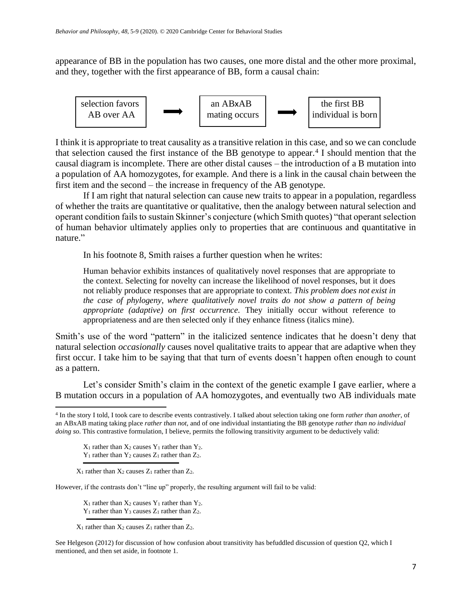appearance of BB in the population has two causes, one more distal and the other more proximal, and they, together with the first appearance of BB, form a causal chain:



I think it is appropriate to treat causality as a transitive relation in this case, and so we can conclude that selection caused the first instance of the BB genotype to appear.<sup>4</sup> I should mention that the causal diagram is incomplete. There are other distal causes – the introduction of a B mutation into a population of AA homozygotes, for example. And there is a link in the causal chain between the first item and the second – the increase in frequency of the AB genotype.

If I am right that natural selection can cause new traits to appear in a population, regardless of whether the traits are quantitative or qualitative, then the analogy between natural selection and operant condition fails to sustain Skinner's conjecture (which Smith quotes) "that operant selection of human behavior ultimately applies only to properties that are continuous and quantitative in nature."

In his footnote 8, Smith raises a further question when he writes:

Human behavior exhibits instances of qualitatively novel responses that are appropriate to the context. Selecting for novelty can increase the likelihood of novel responses, but it does not reliably produce responses that are appropriate to context. *This problem does not exist in the case of phylogeny, where qualitatively novel traits do not show a pattern of being appropriate (adaptive) on first occurrence.* They initially occur without reference to appropriateness and are then selected only if they enhance fitness (italics mine).

Smith's use of the word "pattern" in the italicized sentence indicates that he doesn't deny that natural selection *occasionally* causes novel qualitative traits to appear that are adaptive when they first occur. I take him to be saying that that turn of events doesn't happen often enough to count as a pattern.

Let's consider Smith's claim in the context of the genetic example I gave earlier, where a B mutation occurs in a population of AA homozygotes, and eventually two AB individuals mate

 $X_1$  rather than  $X_2$  causes  $Y_1$  rather than  $Y_2$ .

 $Y_1$  rather than  $Y_2$  causes  $Z_1$  rather than  $Z_2$ .

 $X_1$  rather than  $X_2$  causes  $Z_1$  rather than  $Z_2$ .

However, if the contrasts don't "line up" properly, the resulting argument will fail to be valid:

 $X_1$  rather than  $X_2$  causes  $Y_1$  rather than  $Y_2$ .  $Y_1$  rather than  $Y_3$  causes  $Z_1$  rather than  $Z_2$ .

 $X_1$  rather than  $X_2$  causes  $Z_1$  rather than  $Z_2$ .

See Helgeson (2012) for discussion of how confusion about transitivity has befuddled discussion of question Q2, which I mentioned, and then set aside, in footnote 1.

<sup>4</sup> In the story I told, I took care to describe events contrastively. I talked about selection taking one form *rather than another*, of an ABxAB mating taking place *rather than not*, and of one individual instantiating the BB genotype *rather than no individual doing so*. This contrastive formulation, I believe, permits the following transitivity argument to be deductively valid: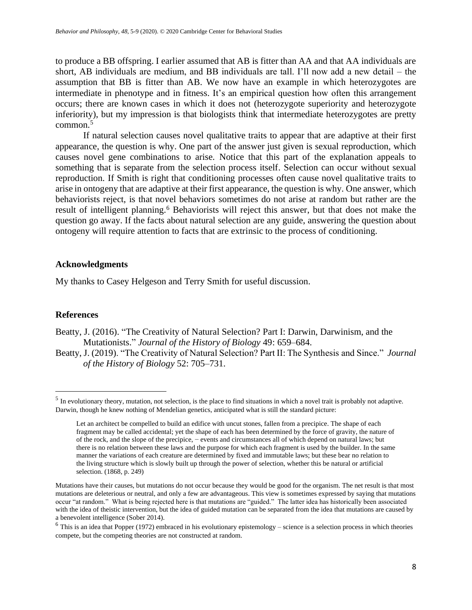to produce a BB offspring. I earlier assumed that AB is fitter than AA and that AA individuals are short, AB individuals are medium, and BB individuals are tall. I'll now add a new detail – the assumption that BB is fitter than AB. We now have an example in which heterozygotes are intermediate in phenotype and in fitness. It's an empirical question how often this arrangement occurs; there are known cases in which it does not (heterozygote superiority and heterozygote inferiority), but my impression is that biologists think that intermediate heterozygotes are pretty  $common<sup>5</sup>$ 

If natural selection causes novel qualitative traits to appear that are adaptive at their first appearance, the question is why. One part of the answer just given is sexual reproduction, which causes novel gene combinations to arise. Notice that this part of the explanation appeals to something that is separate from the selection process itself. Selection can occur without sexual reproduction. If Smith is right that conditioning processes often cause novel qualitative traits to arise in ontogeny that are adaptive at their first appearance, the question is why. One answer, which behaviorists reject, is that novel behaviors sometimes do not arise at random but rather are the result of intelligent planning.<sup>6</sup> Behaviorists will reject this answer, but that does not make the question go away. If the facts about natural selection are any guide, answering the question about ontogeny will require attention to facts that are extrinsic to the process of conditioning.

## **Acknowledgments**

My thanks to Casey Helgeson and Terry Smith for useful discussion.

## **References**

Beatty, J. (2016). "The Creativity of Natural Selection? Part I: Darwin, Darwinism, and the Mutationists." *Journal of the History of Biology* 49: 659–684.

Beatty, J. (2019). "The Creativity of Natural Selection? Part II: The Synthesis and Since." *Journal of the History of Biology* 52: 705–731.

 $<sup>5</sup>$  In evolutionary theory, mutation, not selection, is the place to find situations in which a novel trait is probably not adaptive.</sup> Darwin, though he knew nothing of Mendelian genetics, anticipated what is still the standard picture:

Let an architect be compelled to build an edifice with uncut stones, fallen from a precipice. The shape of each fragment may be called accidental; yet the shape of each has been determined by the force of gravity, the nature of of the rock, and the slope of the precipice, − events and circumstances all of which depend on natural laws; but there is no relation between these laws and the purpose for which each fragment is used by the builder. In the same manner the variations of each creature are determined by fixed and immutable laws; but these bear no relation to the living structure which is slowly built up through the power of selection, whether this be natural or artificial selection. (1868, p. 249)

Mutations have their causes, but mutations do not occur because they would be good for the organism. The net result is that most mutations are deleterious or neutral, and only a few are advantageous. This view is sometimes expressed by saying that mutations occur "at random." What is being rejected here is that mutations are "guided." The latter idea has historically been associated with the idea of theistic intervention, but the idea of guided mutation can be separated from the idea that mutations are caused by a benevolent intelligence (Sober 2014).

 $6$  This is an idea that Popper (1972) embraced in his evolutionary epistemology – science is a selection process in which theories compete, but the competing theories are not constructed at random.